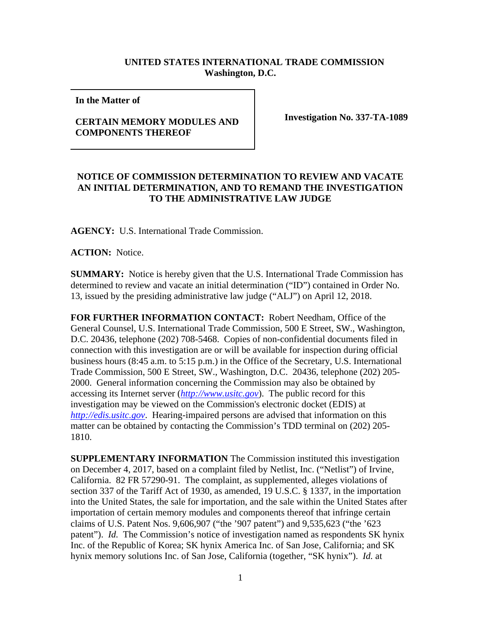## **UNITED STATES INTERNATIONAL TRADE COMMISSION Washington, D.C.**

**In the Matter of** 

## **CERTAIN MEMORY MODULES AND COMPONENTS THEREOF**

**Investigation No. 337-TA-1089**

## **NOTICE OF COMMISSION DETERMINATION TO REVIEW AND VACATE AN INITIAL DETERMINATION, AND TO REMAND THE INVESTIGATION TO THE ADMINISTRATIVE LAW JUDGE**

**AGENCY:** U.S. International Trade Commission.

**ACTION:** Notice.

**SUMMARY:** Notice is hereby given that the U.S. International Trade Commission has determined to review and vacate an initial determination ("ID") contained in Order No. 13, issued by the presiding administrative law judge ("ALJ") on April 12, 2018.

**FOR FURTHER INFORMATION CONTACT:** Robert Needham, Office of the General Counsel, U.S. International Trade Commission, 500 E Street, SW., Washington, D.C. 20436, telephone (202) 708-5468. Copies of non-confidential documents filed in connection with this investigation are or will be available for inspection during official business hours (8:45 a.m. to 5:15 p.m.) in the Office of the Secretary, U.S. International Trade Commission, 500 E Street, SW., Washington, D.C. 20436, telephone (202) 205- 2000. General information concerning the Commission may also be obtained by accessing its Internet server (*http://www.usitc.gov*). The public record for this investigation may be viewed on the Commission's electronic docket (EDIS) at *http://edis.usitc.gov*. Hearing-impaired persons are advised that information on this matter can be obtained by contacting the Commission's TDD terminal on (202) 205- 1810.

**SUPPLEMENTARY INFORMATION** The Commission instituted this investigation on December 4, 2017, based on a complaint filed by Netlist, Inc. ("Netlist") of Irvine, California. 82 FR 57290-91. The complaint, as supplemented, alleges violations of section 337 of the Tariff Act of 1930, as amended, 19 U.S.C. § 1337, in the importation into the United States, the sale for importation, and the sale within the United States after importation of certain memory modules and components thereof that infringe certain claims of U.S. Patent Nos. 9,606,907 ("the '907 patent") and 9,535,623 ("the '623 patent"). *Id.* The Commission's notice of investigation named as respondents SK hynix Inc. of the Republic of Korea; SK hynix America Inc. of San Jose, California; and SK hynix memory solutions Inc. of San Jose, California (together, "SK hynix"). *Id.* at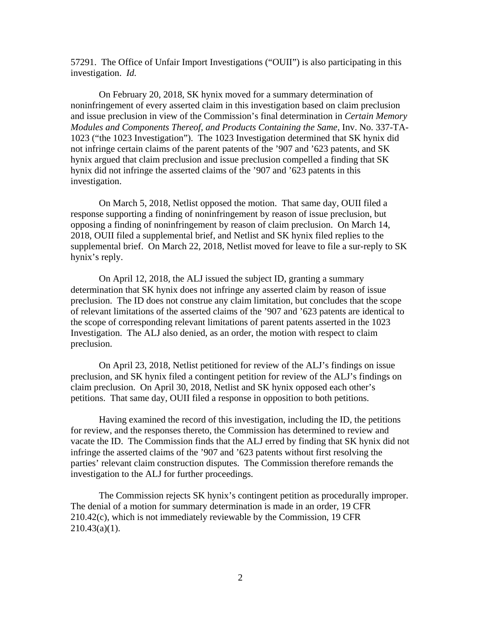57291. The Office of Unfair Import Investigations ("OUII") is also participating in this investigation. *Id.*

On February 20, 2018, SK hynix moved for a summary determination of noninfringement of every asserted claim in this investigation based on claim preclusion and issue preclusion in view of the Commission's final determination in *Certain Memory Modules and Components Thereof, and Products Containing the Same*, Inv. No. 337-TA-1023 ("the 1023 Investigation"). The 1023 Investigation determined that SK hynix did not infringe certain claims of the parent patents of the '907 and '623 patents, and SK hynix argued that claim preclusion and issue preclusion compelled a finding that SK hynix did not infringe the asserted claims of the '907 and '623 patents in this investigation.

On March 5, 2018, Netlist opposed the motion. That same day, OUII filed a response supporting a finding of noninfringement by reason of issue preclusion, but opposing a finding of noninfringement by reason of claim preclusion. On March 14, 2018, OUII filed a supplemental brief, and Netlist and SK hynix filed replies to the supplemental brief. On March 22, 2018, Netlist moved for leave to file a sur-reply to SK hynix's reply.

On April 12, 2018, the ALJ issued the subject ID, granting a summary determination that SK hynix does not infringe any asserted claim by reason of issue preclusion. The ID does not construe any claim limitation, but concludes that the scope of relevant limitations of the asserted claims of the '907 and '623 patents are identical to the scope of corresponding relevant limitations of parent patents asserted in the 1023 Investigation. The ALJ also denied, as an order, the motion with respect to claim preclusion.

On April 23, 2018, Netlist petitioned for review of the ALJ's findings on issue preclusion, and SK hynix filed a contingent petition for review of the ALJ's findings on claim preclusion. On April 30, 2018, Netlist and SK hynix opposed each other's petitions. That same day, OUII filed a response in opposition to both petitions.

Having examined the record of this investigation, including the ID, the petitions for review, and the responses thereto, the Commission has determined to review and vacate the ID. The Commission finds that the ALJ erred by finding that SK hynix did not infringe the asserted claims of the '907 and '623 patents without first resolving the parties' relevant claim construction disputes. The Commission therefore remands the investigation to the ALJ for further proceedings.

 The Commission rejects SK hynix's contingent petition as procedurally improper. The denial of a motion for summary determination is made in an order, 19 CFR 210.42(c), which is not immediately reviewable by the Commission, 19 CFR  $210.43(a)(1)$ .